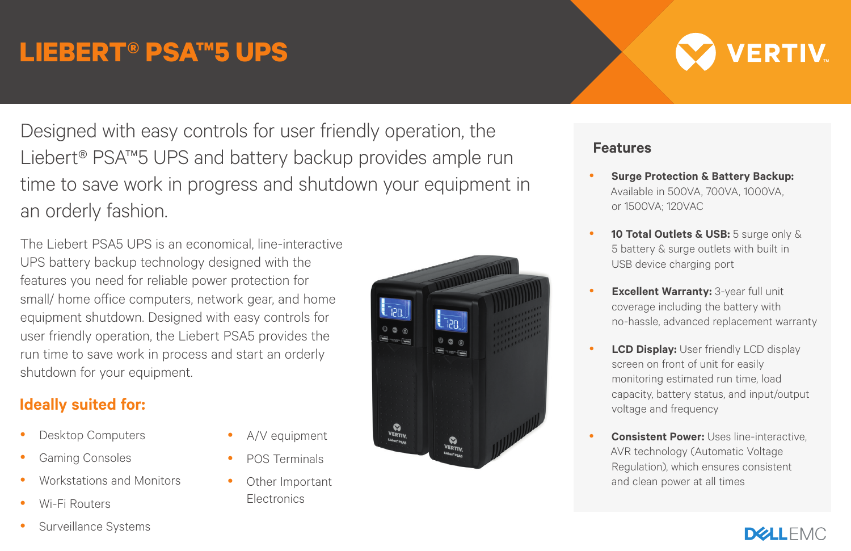## **LIEBERT® PSA™5 UPS**

Designed with easy controls for user friendly operation, the Liebert® PSA™5 UPS and battery backup provides ample run time to save work in progress and shutdown your equipment in an orderly fashion.

> A/V equipment POS Terminals Other Important **Electronics**

The Liebert PSA5 UPS is an economical, line-interactive UPS battery backup technology designed with the features you need for reliable power protection for small/ home office computers, network gear, and home equipment shutdown. Designed with easy controls for user friendly operation, the Liebert PSA5 provides the run time to save work in process and start an orderly shutdown for your equipment.

## **Ideally suited for:**

- Desktop Computers
- Gaming Consoles
- Workstations and Monitors
- Wi-Fi Routers
- Surveillance Systems

**Lipn** then VERTIV. VERTIV.



- **Surge Protection & Battery Backup:** Available in 500VA, 700VA, 1000VA, or 1500VA; 120VAC
- 10 Total Outlets & USB: 5 surge only & 5 battery & surge outlets with built in USB device charging port
- **Excellent Warranty:** 3-year full unit coverage including the battery with no-hassle, advanced replacement warranty
- **LCD Display:** User friendly LCD display screen on front of unit for easily monitoring estimated run time, load capacity, battery status, and input/output voltage and frequency
- **Consistent Power: Uses line-interactive** AVR technology (Automatic Voltage Regulation), which ensures consistent and clean power at all times
	- **DELLEMC**